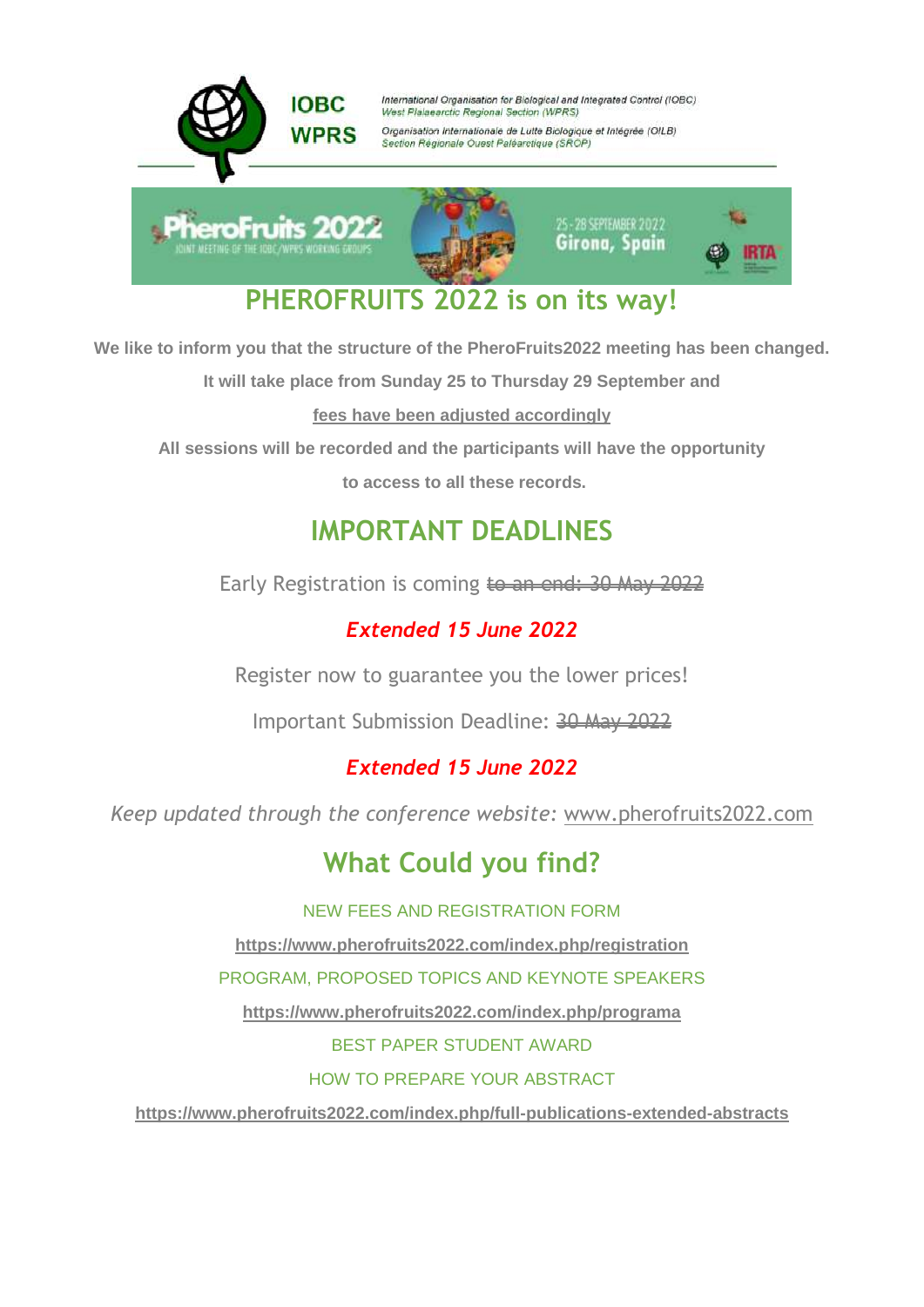

**We like to inform you that the structure of the PheroFruits2022 meeting has been changed.**

**It will take place from Sunday 25 to Thursday 29 September and** 

**fees have been adjusted accordingly**

**All sessions will be recorded and the participants will have the opportunity**

**to access to all these records.**

## **IMPORTANT DEADLINES**

Early Registration is coming to an end: 30 May 2022

## *Extended 15 June 2022*

Register now to guarantee you the lower prices!

Important Submission Deadline: 30 May 2022

### *Extended 15 June 2022*

*Keep updated through the conference website:* [www.pherofruits2022.com](http://www.pherofruits2022.com/)

# **What Could you find?**

NEW FEES AND REGISTRATION FORM

**<https://www.pherofruits2022.com/index.php/registration>**

PROGRAM, PROPOSED TOPICS AND KEYNOTE SPEAKERS

**<https://www.pherofruits2022.com/index.php/programa>**

BEST PAPER STUDENT AWARD

HOW TO PREPARE YOUR ABSTRACT

**<https://www.pherofruits2022.com/index.php/full-publications-extended-abstracts>**